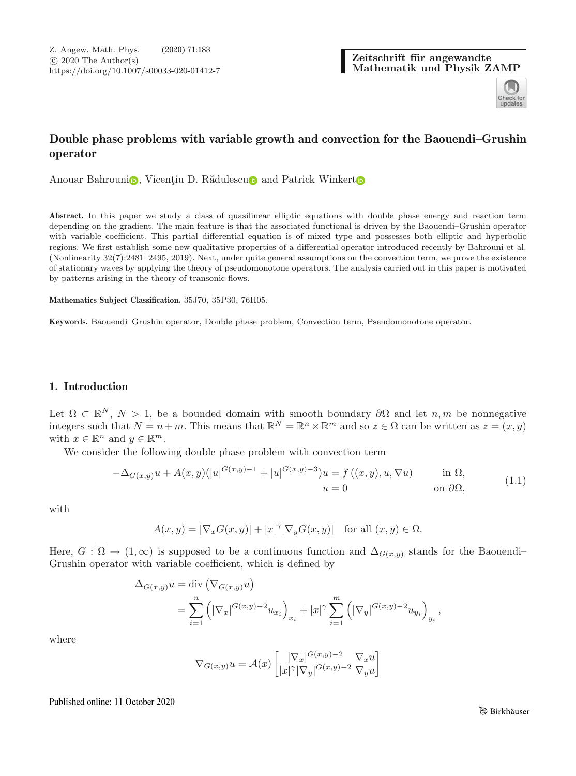Zeitschrift für angewandte **Mathematik und Physik ZAMP**



# **Double phase problems with variable growth and convection for the Baouendi–Grushin operator**

Anouar Bahrouni<sub></sub>[,](http://orcid.org/0000-0002-5465-4064) Vicenți[u](http://orcid.org/0000-0003-4615-5537) D. Rădulescu<sub>l</sub> and Pa[t](http://orcid.org/0000-0003-0320-7026)rick Winkert<sub>o</sub>

**Abstract.** In this paper we study a class of quasilinear elliptic equations with double phase energy and reaction term depending on the gradient. The main feature is that the associated functional is driven by the Baouendi–Grushin operator with variable coefficient. This partial differential equation is of mixed type and possesses both elliptic and hyperbolic regions. We first establish some new qualitative properties of a differential operator introduced recently by Bahrouni et al. (Nonlinearity 32(7):2481–2495, 2019). Next, under quite general assumptions on the convection term, we prove the existence of stationary waves by applying the theory of pseudomonotone operators. The analysis carried out in this paper is motivated by patterns arising in the theory of transonic flows.

**Mathematics Subject Classification.** 35J70, 35P30, 76H05.

**Keywords.** Baouendi–Grushin operator, Double phase problem, Convection term, Pseudomonotone operator.

# <span id="page-0-1"></span>**1. Introduction**

Let  $\Omega \subset \mathbb{R}^N$ ,  $N > 1$ , be a bounded domain with smooth boundary  $\partial\Omega$  and let  $n, m$  be nonnegative integers such that  $N = n+m$ . This means that  $\mathbb{R}^{N} = \mathbb{R}^{n} \times \mathbb{R}^{m}$  and so  $z \in \Omega$  can be written as  $z = (x, y)$ with  $x \in \mathbb{R}^n$  and  $y \in \mathbb{R}^m$ .

We consider the following double phase problem with convection term

<span id="page-0-0"></span>
$$
-\Delta_{G(x,y)}u + A(x,y)(|u|^{G(x,y)-1} + |u|^{G(x,y)-3})u = f((x,y), u, \nabla u) \quad \text{in } \Omega,
$$
  
\n
$$
u = 0 \quad \text{on } \partial\Omega,
$$
\n(1.1)

with

$$
A(x,y)=|\nabla_x G(x,y)|+|x|^{\gamma}|\nabla_y G(x,y)|\quad\text{for all }(x,y)\in\Omega.
$$

Here,  $G : \overline{\Omega} \to (1,\infty)$  is supposed to be a continuous function and  $\Delta_{G(x,y)}$  stands for the Baouendi– Grushin operator with variable coefficient, which is defined by

$$
\Delta_{G(x,y)} u = \text{div} \left( \nabla_{G(x,y)} u \right)
$$
  
= 
$$
\sum_{i=1}^n \left( |\nabla_x|^{G(x,y)-2} u_{x_i} \right)_{x_i} + |x|^\gamma \sum_{i=1}^m \left( |\nabla_y|^{G(x,y)-2} u_{y_i} \right)_{y_i},
$$

where

$$
\nabla_{G(x,y)} u = \mathcal{A}(x) \begin{bmatrix} |\nabla_x|^{G(x,y)-2} & \nabla_x u \\ |x|^\gamma |\nabla_y|^{G(x,y)-2} & \nabla_y u \end{bmatrix}
$$

Published online: 11 October 2020

ু Birkhäuser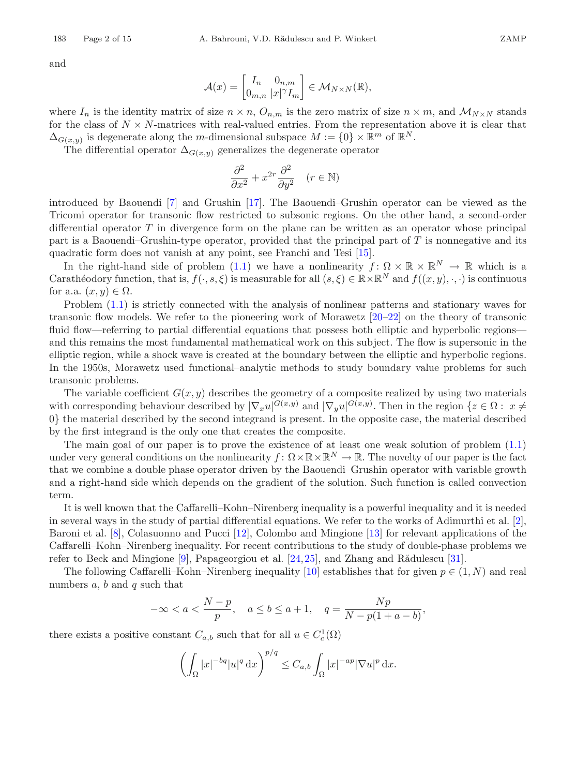and

$$
\mathcal{A}(x) = \begin{bmatrix} I_n & 0_{n,m} \\ 0_{m,n} & |x|^\gamma I_m \end{bmatrix} \in \mathcal{M}_{N \times N}(\mathbb{R}),
$$

where  $I_n$  is the identity matrix of size  $n \times n$ ,  $O_{n,m}$  is the zero matrix of size  $n \times m$ , and  $\mathcal{M}_{N \times N}$  stands for the class of  $N \times N$ -matrices with real-valued entries. From the representation above it is clear that  $\Delta_{G(x,y)}$  is degenerate along the m-dimensional subspace  $M := \{0\} \times \mathbb{R}^m$  of  $\mathbb{R}^N$ .

The differential operator  $\Delta_{G(x,y)}$  generalizes the degenerate operator

$$
\frac{\partial^2}{\partial x^2} + x^{2r} \frac{\partial^2}{\partial y^2} \quad (r \in \mathbb{N})
$$

introduced by Baouendi [\[7](#page-13-1)] and Grushin [\[17](#page-13-2)]. The Baouendi–Grushin operator can be viewed as the Tricomi operator for transonic flow restricted to subsonic regions. On the other hand, a second-order differential operator  $T$  in divergence form on the plane can be written as an operator whose principal part is a Baouendi–Grushin-type operator, provided that the principal part of T is nonnegative and its quadratic form does not vanish at any point, see Franchi and Tesi [\[15\]](#page-13-3).

In the right-hand side of problem [\(1.1\)](#page-0-0) we have a nonlinearity  $f: \Omega \times \mathbb{R} \times \mathbb{R}^N \to \mathbb{R}$  which is a Carathéodory function, that is,  $f(\cdot, s, \xi)$  is measurable for all  $(s, \xi) \in \mathbb{R} \times \mathbb{R}^N$  and  $f((x, y), \cdot, \cdot)$  is continuous for a.a.  $(x, y) \in \Omega$ .

Problem [\(1.1\)](#page-0-0) is strictly connected with the analysis of nonlinear patterns and stationary waves for transonic flow models. We refer to the pioneering work of Morawetz [\[20](#page-13-4)[–22\]](#page-13-5) on the theory of transonic fluid flow—referring to partial differential equations that possess both elliptic and hyperbolic regions and this remains the most fundamental mathematical work on this subject. The flow is supersonic in the elliptic region, while a shock wave is created at the boundary between the elliptic and hyperbolic regions. In the 1950s, Morawetz used functional–analytic methods to study boundary value problems for such transonic problems.

The variable coefficient  $G(x, y)$  describes the geometry of a composite realized by using two materials with corresponding behaviour described by  $|\nabla_x u|^{G(x,y)}$  and  $|\nabla_y u|^{G(x,y)}$ . Then in the region  $\{z \in \Omega : x \neq 0\}$ 0} the material described by the second integrand is present. In the opposite case, the material described by the first integrand is the only one that creates the composite.

The main goal of our paper is to prove the existence of at least one weak solution of problem [\(1.1\)](#page-0-0) under very general conditions on the nonlinearity  $f: \Omega \times \mathbb{R} \times \mathbb{R}^N \to \mathbb{R}$ . The novelty of our paper is the fact that we combine a double phase operator driven by the Baouendi–Grushin operator with variable growth and a right-hand side which depends on the gradient of the solution. Such function is called convection term.

It is well known that the Caffarelli–Kohn–Nirenberg inequality is a powerful inequality and it is needed in several ways in the study of partial differential equations. We refer to the works of Adimurthi et al. [\[2\]](#page-13-6), Baroni et al. [\[8](#page-13-7)], Colasuonno and Pucci [\[12](#page-13-8)], Colombo and Mingione [\[13\]](#page-13-9) for relevant applications of the Caffarelli–Kohn–Nirenberg inequality. For recent contributions to the study of double-phase problems we refer to Beck and Mingione  $[9]$ , Papageorgiou et al.  $[24,25]$  $[24,25]$  $[24,25]$ , and Zhang and Rădulescu  $[31]$ .

The following Caffarelli–Kohn–Nirenberg inequality [\[10](#page-13-12)] establishes that for given  $p \in (1, N)$  and real numbers  $a, b$  and  $q$  such that

$$
-\infty < a < \frac{N-p}{p}, \quad a \le b \le a+1, \quad q = \frac{Np}{N-p(1+a-b)},
$$

there exists a positive constant  $C_{a,b}$  such that for all  $u \in C_c^1(\Omega)$ 

$$
\left(\int_{\Omega}|x|^{-bq}|u|^{q} \, \mathrm{d}x\right)^{p/q} \leq C_{a,b} \int_{\Omega}|x|^{-ap}|\nabla u|^{p} \, \mathrm{d}x.
$$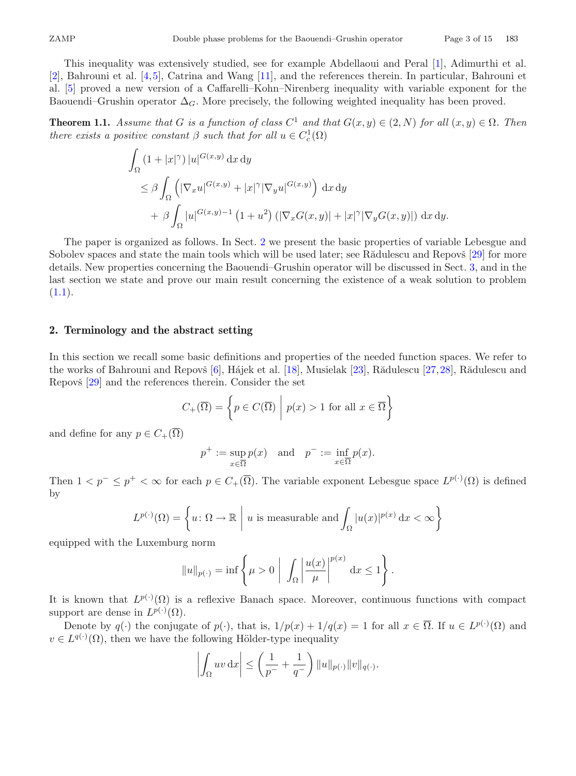This inequality was extensively studied, see for example Abdellaoui and Peral [\[1\]](#page-13-13), Adimurthi et al. [\[2\]](#page-13-6), Bahrouni et al. [\[4](#page-13-14)[,5](#page-13-15)], Catrina and Wang [\[11](#page-13-16)], and the references therein. In particular, Bahrouni et al. [\[5](#page-13-15)] proved a new version of a Caffarelli–Kohn–Nirenberg inequality with variable exponent for the Baouendi–Grushin operator  $\Delta_G$ . More precisely, the following weighted inequality has been proved.

<span id="page-2-1"></span>**Theorem 1.1.** *Assume that* G *is a function of class*  $C^1$  *and that*  $G(x, y) \in (2, N)$  *for all*  $(x, y) \in \Omega$ *. Then there exists a positive constant*  $\beta$  *such that for all*  $u \in C_c^1(\Omega)$ 

$$
\int_{\Omega} (1+|x|^{\gamma}) |u|^{G(x,y)} dx dy
$$
\n
$$
\leq \beta \int_{\Omega} (|\nabla_x u|^{G(x,y)} + |x|^{\gamma} |\nabla_y u|^{G(x,y)}) dx dy
$$
\n
$$
+ \beta \int_{\Omega} |u|^{G(x,y)-1} (1+u^2) (|\nabla_x G(x,y)| + |x|^{\gamma} |\nabla_y G(x,y)|) dx dy.
$$

The paper is organized as follows. In Sect. [2](#page-2-0) we present the basic properties of variable Lebesgue and Sobolev spaces and state the main tools which will be used later; see Rădulescu and Repovš [\[29](#page-14-2)] for more details. New properties concerning the Baouendi–Grushin operator will be discussed in Sect. [3,](#page-4-0) and in the last section we state and prove our main result concerning the existence of a weak solution to problem  $(1.1).$  $(1.1).$ 

# <span id="page-2-0"></span>**2. Terminology and the abstract setting**

In this section we recall some basic definitions and properties of the needed function spaces. We refer to the works of Bahrouni and Repovš  $[6]$ , Hájek et al. [\[18](#page-13-18)], Musielak [\[23](#page-13-19)], Rădulescu [\[27](#page-14-3)[,28](#page-14-4)], Rădulescu and Repovš [\[29](#page-14-2)] and the references therein. Consider the set

$$
C_{+}(\overline{\Omega}) = \left\{ p \in C(\overline{\Omega}) \mid p(x) > 1 \text{ for all } x \in \overline{\Omega} \right\}
$$

and define for any  $p\in C_+(\overline\Omega)$ 

$$
p^+ := \sup_{x \in \overline{\Omega}} p(x)
$$
 and  $p^- := \inf_{x \in \overline{\Omega}} p(x)$ .

Then  $1 < p^- \le p^+ < \infty$  for each  $p \in C_+(\overline{\Omega})$ . The variable exponent Lebesgue space  $L^{p(\cdot)}(\Omega)$  is defined by

$$
L^{p(\cdot)}(\Omega) = \left\{ u \colon \Omega \to \mathbb{R} \mid u \text{ is measurable and } \int_{\Omega} |u(x)|^{p(x)} dx < \infty \right\}
$$

equipped with the Luxemburg norm

$$
||u||_{p(\cdot)} = \inf \left\{ \mu > 0 \mid \int_{\Omega} \left| \frac{u(x)}{\mu} \right|^{p(x)} dx \le 1 \right\}.
$$

It is known that  $L^{p(\cdot)}(\Omega)$  is a reflexive Banach space. Moreover, continuous functions with compact support are dense in  $L^{p(\cdot)}(\Omega)$ .

Denote by  $q(\cdot)$  the conjugate of  $p(\cdot)$ , that is,  $1/p(x)+1/q(x) = 1$  for all  $x \in \overline{\Omega}$ . If  $u \in L^{p(\cdot)}(\Omega)$  and  $v \in L^{q(\cdot)}(\Omega)$ , then we have the following Hölder-type inequality

$$
\left| \int_{\Omega} uv \, dx \right| \leq \left( \frac{1}{p^-} + \frac{1}{q^-} \right) ||u||_{p(\cdot)} ||v||_{q(\cdot)}.
$$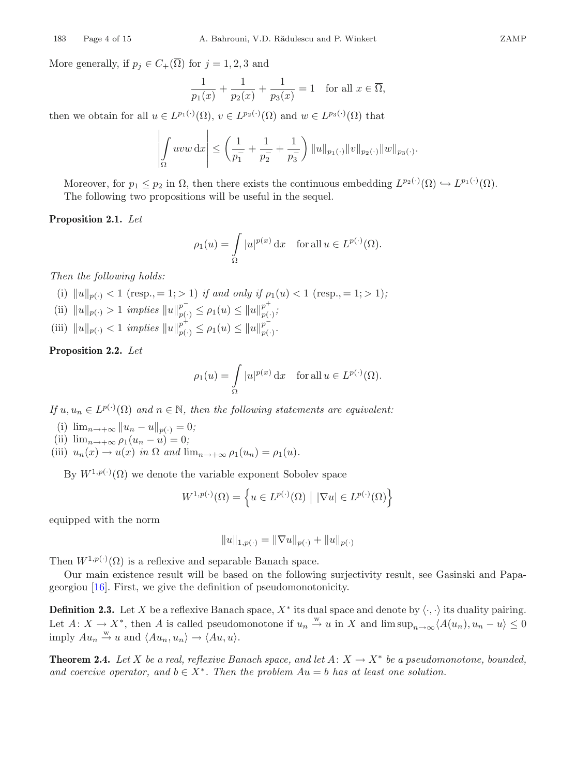More generally, if  $p_j \in C_+(\overline{\Omega})$  for  $j = 1, 2, 3$  and

$$
\frac{1}{p_1(x)} + \frac{1}{p_2(x)} + \frac{1}{p_3(x)} = 1 \text{ for all } x \in \overline{\Omega},
$$

then we obtain for all  $u \in L^{p_1(\cdot)}(\Omega)$ ,  $v \in L^{p_2(\cdot)}(\Omega)$  and  $w \in L^{p_3(\cdot)}(\Omega)$  that

$$
\left| \int_{\Omega} uvw \, dx \right| \leq \left( \frac{1}{p_1^-} + \frac{1}{p_2^-} + \frac{1}{p_3^-} \right) ||u||_{p_1(\cdot)} ||v||_{p_2(\cdot)} ||w||_{p_3(\cdot)}.
$$

<span id="page-3-0"></span>Moreover, for  $p_1 \leq p_2$  in  $\Omega$ , then there exists the continuous embedding  $L^{p_2(\cdot)}(\Omega) \hookrightarrow L^{p_1(\cdot)}(\Omega)$ . The following two propositions will be useful in the sequel.

#### **Proposition 2.1.** *Let*

$$
\rho_1(u) = \int_{\Omega} |u|^{p(x)} dx \quad \text{for all } u \in L^{p(\cdot)}(\Omega).
$$

*Then the following holds:*

- (i)  $||u||_{p(.)} < 1$  (resp., = 1; > 1) *if and only if*  $\rho_1(u) < 1$  (resp., = 1; > 1);
- (ii)  $||u||_{p(\cdot)} > 1$  *implies*  $||u||_{p(\cdot)}^{p^{-}} \leq \rho_1(u) \leq ||u||_{p(\cdot)}^{p^{+}};$
- (iii)  $||u||_{p(\cdot)} < 1$  *implies*  $||u||_{p(\cdot)}^{p^+} \le \rho_1(u) \le ||u||_{p(\cdot)}^{p^-}$ .

<span id="page-3-1"></span>**Proposition 2.2.** *Let*

$$
\rho_1(u) = \int_{\Omega} |u|^{p(x)} dx \quad \text{for all } u \in L^{p(\cdot)}(\Omega).
$$

*If*  $u, u_n \in L^{p(\cdot)}(\Omega)$  *and*  $n \in \mathbb{N}$ *, then the following statements are equivalent:* 

- (i)  $\lim_{n \to +\infty} ||u_n u||_{p(.)} = 0;$
- (ii)  $\lim_{n \to +\infty} \rho_1(u_n u) = 0;$
- (iii)  $u_n(x) \to u(x)$  *in*  $\Omega$  *and*  $\lim_{n \to +\infty} \rho_1(u_n) = \rho_1(u)$ *.*

By  $W^{1,p(\cdot)}(\Omega)$  we denote the variable exponent Sobolev space

$$
W^{1,p(\cdot)}(\Omega) = \left\{ u \in L^{p(\cdot)}(\Omega) \mid |\nabla u| \in L^{p(\cdot)}(\Omega) \right\}
$$

equipped with the norm

$$
||u||_{1,p(\cdot)} = ||\nabla u||_{p(\cdot)} + ||u||_{p(\cdot)}
$$

Then  $W^{1,p(\cdot)}(\Omega)$  is a reflexive and separable Banach space.

<span id="page-3-2"></span>Our main existence result will be based on the following surjectivity result, see Gasinski and Papageorgiou [\[16](#page-13-20)]. First, we give the definition of pseudomonotonicity.

**Definition 2.3.** Let X be a reflexive Banach space,  $X^*$  its dual space and denote by  $\langle \cdot, \cdot \rangle$  its duality pairing. Let  $A: X \to X^*$ , then A is called pseudomonotone if  $u_n \stackrel{w}{\to} u$  in X and  $\limsup_{n\to\infty} \langle A(u_n), u_n - u \rangle \leq 0$ imply  $Au_n \stackrel{w}{\rightarrow} u$  and  $\langle Au_n, u_n \rangle \rightarrow \langle Au, u \rangle$ .

<span id="page-3-3"></span>**Theorem 2.4.** *Let* X *be a real, reflexive Banach space, and let*  $A: X \to X^*$  *be a pseudomonotone, bounded, and coercive operator, and*  $b \in X^*$ . Then the problem  $Au = b$  has at least one solution.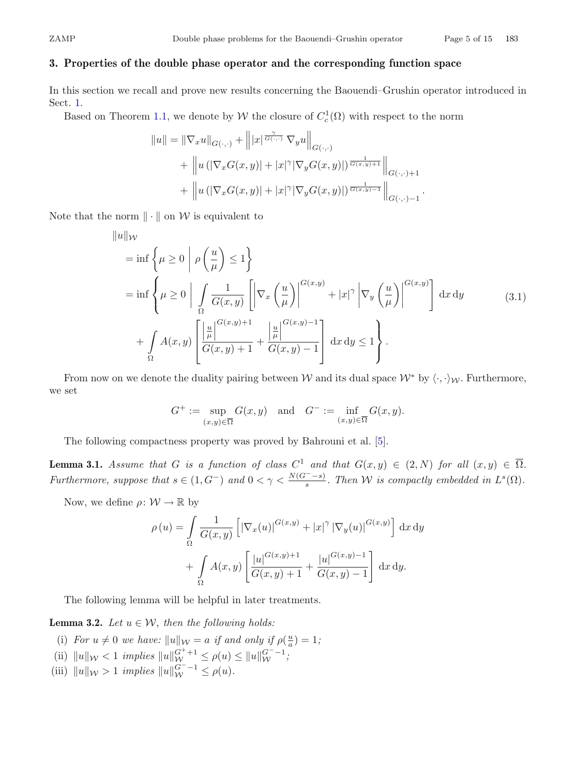# <span id="page-4-0"></span>**3. Properties of the double phase operator and the corresponding function space**

In this section we recall and prove new results concerning the Baouendi–Grushin operator introduced in Sect. [1.](#page-0-1)

Based on Theorem [1.1,](#page-2-1) we denote by  $W$  the closure of  $C_c^1(\Omega)$  with respect to the norm

$$
||u|| = ||\nabla_x u||_{G(\cdot, \cdot)} + |||x|^{\overline{\sigma(\cdot, \cdot)}} \nabla_y u||_{G(\cdot, \cdot)} + ||u (|\nabla_x G(x, y)| + |x|^\gamma |\nabla_y G(x, y)|)^{\overline{\sigma(x, y)+1}} ||_{G(\cdot, \cdot)+1} + ||u (|\nabla_x G(x, y)| + |x|^\gamma |\nabla_y G(x, y)|)^{\overline{\sigma(x, y)-1}} ||_{G(\cdot, \cdot)-1}.
$$

Note that the norm  $\|\cdot\|$  on W is equivalent to

$$
\|u\|_{\mathcal{W}}
$$
\n
$$
= \inf \left\{ \mu \ge 0 \mid \rho \left( \frac{u}{\mu} \right) \le 1 \right\}
$$
\n
$$
= \inf \left\{ \mu \ge 0 \mid \int_{\Omega} \frac{1}{G(x,y)} \left[ \left| \nabla_x \left( \frac{u}{\mu} \right) \right|^{G(x,y)} + |x|^{\gamma} \left| \nabla_y \left( \frac{u}{\mu} \right) \right|^{G(x,y)} \right] dx dy \qquad (3.1)
$$
\n
$$
+ \int_{\Omega} A(x,y) \left[ \frac{\left| \frac{u}{\mu} \right|^{G(x,y)+1}}{G(x,y)+1} + \frac{\left| \frac{u}{\mu} \right|^{G(x,y)-1}}{G(x,y)-1} \right] dx dy \le 1 \right\}.
$$

From now on we denote the duality pairing between  $W$  and its dual space  $W^*$  by  $\langle \cdot, \cdot \rangle_W$ . Furthermore, we set

<span id="page-4-1"></span>
$$
G^+ := \sup_{(x,y)\in\overline{\Omega}} G(x,y) \quad \text{and} \quad G^- := \inf_{(x,y)\in\overline{\Omega}} G(x,y).
$$

<span id="page-4-2"></span>The following compactness property was proved by Bahrouni et al. [\[5\]](#page-13-15).

**Lemma 3.1.** *Assume that* G *is a function of class*  $C^1$  *and that*  $G(x, y) \in (2, N)$  *for all*  $(x, y) \in \overline{\Omega}$ *. Furthermore, suppose that*  $s \in (1, G^-)$  *and*  $0 < \gamma < \frac{N(G^- - s)}{s}$ *. Then W is compactly embedded in*  $L^s(\Omega)$ *.* 

Now, we define  $\rho \colon \mathcal{W} \to \mathbb{R}$  by

$$
\rho(u) = \int_{\Omega} \frac{1}{G(x,y)} \left[ |\nabla_x(u)|^{G(x,y)} + |x|^{\gamma} |\nabla_y(u)|^{G(x,y)} \right] dx dy
$$

$$
+ \int_{\Omega} A(x,y) \left[ \frac{|u|^{G(x,y)+1}}{G(x,y)+1} + \frac{|u|^{G(x,y)-1}}{G(x,y)-1} \right] dx dy.
$$

<span id="page-4-3"></span>The following lemma will be helpful in later treatments.

**Lemma 3.2.** *Let*  $u \in \mathcal{W}$ *, then the following holds:* 

- (i) For  $u \neq 0$  we have:  $||u||_{\mathcal{W}} = a$  if and only if  $\rho(\frac{u}{a}) = 1$ ;
- (ii)  $||u||_{\mathcal{W}} < 1$  *implies*  $||u||_{\mathcal{W}}^{G^+ + 1} \le \rho(u) \le ||u||_{\mathcal{W}}^{G^- 1}$ ;
- (iii)  $||u||_{\mathcal{W}} > 1$  *implies*  $||u||_{\mathcal{W}}^{G^{-}-1} \leq \rho(u)$ *.*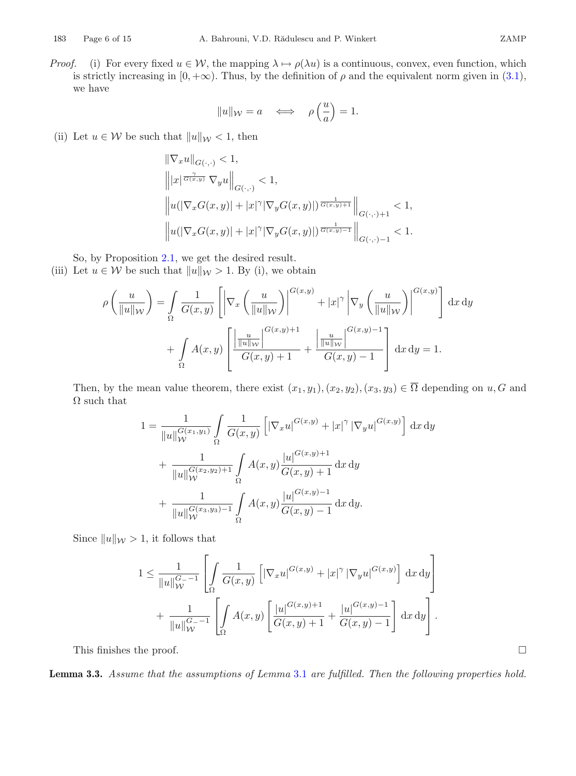*Proof.* (i) For every fixed  $u \in \mathcal{W}$ , the mapping  $\lambda \mapsto \rho(\lambda u)$  is a continuous, convex, even function, which is strictly increasing in  $[0, +\infty)$ . Thus, by the definition of  $\rho$  and the equivalent norm given in [\(3.1\)](#page-4-1), we have

$$
||u||_{\mathcal{W}} = a \iff \rho\left(\frac{u}{a}\right) = 1.
$$

(ii) Let  $u \in \mathcal{W}$  be such that  $||u||_{\mathcal{W}} < 1$ , then

$$
\label{eq:20} \begin{split} &\|\nabla_x u\|_{G(\cdot,\cdot)}<1,\\ &\left\||x|^{\frac{\gamma}{G(x,y)}}\,\nabla_y u\right\|_{G(\cdot,\cdot)}<1,\\ &\left\|u(|\nabla_x G(x,y)|+|x|^\gamma|\nabla_y G(x,y)|)^{\frac{1}{G(x,y)+1}}\right\|_{G(\cdot,\cdot)+1}<1,\\ &\left\|u(|\nabla_x G(x,y)|+|x|^\gamma|\nabla_y G(x,y)|)^{\frac{1}{G(x,y)-1}}\right\|_{G(\cdot,\cdot)-1}<1. \end{split}
$$

So, by Proposition [2.1,](#page-3-0) we get the desired result.

(iii) Let  $u \in \mathcal{W}$  be such that  $||u||_{\mathcal{W}} > 1$ . By (i), we obtain

$$
\rho\left(\frac{u}{\|u\|_{\mathcal{W}}}\right) = \int_{\Omega} \frac{1}{G(x,y)} \left[ \left| \nabla_x \left(\frac{u}{\|u\|_{\mathcal{W}}}\right) \right|^{G(x,y)} + |x|^{\gamma} \left| \nabla_y \left(\frac{u}{\|u\|_{\mathcal{W}}}\right) \right|^{G(x,y)} \right] dx dy
$$

$$
+ \int_{\Omega} A(x,y) \left[ \frac{\left| \frac{u}{\|u\|_{\mathcal{W}}}\right|^{G(x,y)+1}}{G(x,y)+1} + \frac{\left| \frac{u}{\|u\|_{\mathcal{W}}}\right|^{G(x,y)-1}}{G(x,y)-1} \right] dx dy = 1.
$$

Then, by the mean value theorem, there exist  $(x_1, y_1), (x_2, y_2), (x_3, y_3) \in \overline{\Omega}$  depending on  $u, G$  and  $\Omega$  such that

$$
1 = \frac{1}{\|u\|_{\mathcal{W}}^{G(x_1,y_1)}} \int_{\Omega} \frac{1}{G(x,y)} \left[ |\nabla_x u|^{G(x,y)} + |x|^{\gamma} |\nabla_y u|^{G(x,y)} \right] dx dy
$$
  
+ 
$$
\frac{1}{\|u\|_{\mathcal{W}}^{G(x_2,y_2)+1}} \int_{\Omega} A(x,y) \frac{|u|^{G(x,y)+1}}{G(x,y)+1} dx dy
$$
  
+ 
$$
\frac{1}{\|u\|_{\mathcal{W}}^{G(x_3,y_3)-1}} \int_{\Omega} A(x,y) \frac{|u|^{G(x,y)-1}}{G(x,y)-1} dx dy.
$$

Since  $||u||_{\mathcal{W}} > 1$ , it follows that

$$
1 \leq \frac{1}{\|u\|_{\mathcal{W}}^{G_{-}-1}} \left[ \int_{\Omega} \frac{1}{G(x,y)} \left[ |\nabla_x u|^{G(x,y)} + |x|^{\gamma} |\nabla_y u|^{G(x,y)} \right] dx dy \right] + \frac{1}{\|u\|_{\mathcal{W}}^{G_{-}-1}} \left[ \int_{\Omega} A(x,y) \left[ \frac{|u|^{G(x,y)+1}}{G(x,y)+1} + \frac{|u|^{G(x,y)-1}}{G(x,y)-1} \right] dx dy \right].
$$

This finishes the proof.

<span id="page-5-0"></span>**Lemma 3.3.** *Assume that the assumptions of Lemma* [3.1](#page-4-2) *are fulfilled. Then the following properties hold.*

 $\Box$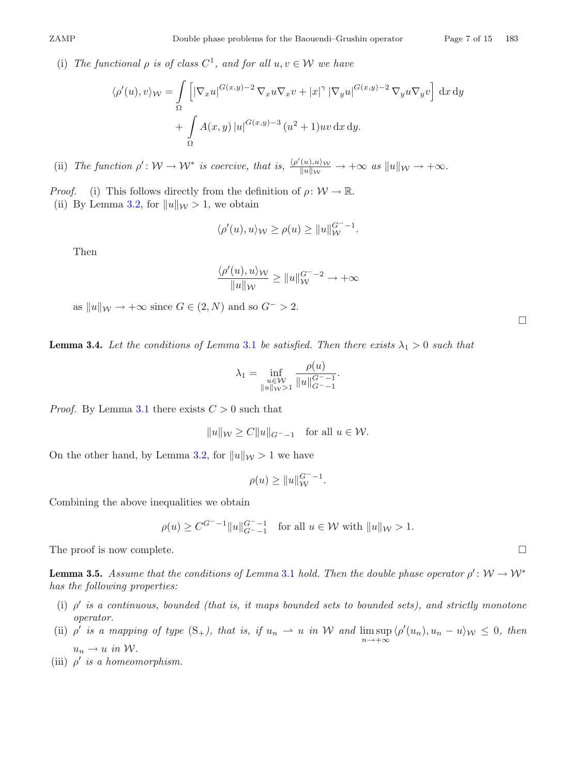(i) *The functional*  $\rho$  *is of class*  $C^1$ *, and for all*  $u, v \in W$  *we have* 

$$
\langle \rho'(u), v \rangle_{\mathcal{W}} = \int_{\Omega} \left[ |\nabla_x u|^{G(x,y)-2} \nabla_x u \nabla_x v + |x|^{\gamma} |\nabla_y u|^{G(x,y)-2} \nabla_y u \nabla_y v \right] dx dy
$$

$$
+ \int_{\Omega} A(x,y) |u|^{G(x,y)-3} (u^2 + 1) uv dx dy.
$$

(ii) *The function*  $\rho' : \mathcal{W} \to \mathcal{W}^*$  *is coercive, that is,*  $\frac{\langle \rho'(u), u \rangle \mathcal{W}}{\|u\|_{\mathcal{W}}} \to +\infty$  *as*  $\|u\|_{\mathcal{W}} \to +\infty$ *.* 

*Proof.* (i) This follows directly from the definition of  $\rho: W \to \mathbb{R}$ . (ii) By Lemma [3.2,](#page-4-3) for  $||u||_{\mathcal{W}} > 1$ , we obtain

$$
\langle \rho'(u), u \rangle_{\mathcal{W}} \ge \rho(u) \ge ||u||_{\mathcal{W}}^{G^{-}-1}.
$$

Then

$$
\frac{\langle \rho'(u), u \rangle_{\mathcal{W}}}{\|u\|_{\mathcal{W}}} \ge \|u\|_{\mathcal{W}}^{G^{-}-2} \to +\infty
$$

as  $||u||_{\mathcal{W}} \to +\infty$  since  $G \in (2, N)$  and so  $G^{-} > 2$ .

<span id="page-6-0"></span>**Lemma 3.4.** Let the conditions of Lemma [3.1](#page-4-2) be satisfied. Then there exists  $\lambda_1 > 0$  such that

$$
\lambda_1 = \inf_{\substack{u \in \mathcal{W} \\ \|u\|_{\mathcal{W}} > 1}} \frac{\rho(u)}{\|u\|_{G^{-}-1}^{G^{-}}}
$$

*Proof.* By Lemma [3.1](#page-4-2) there exists  $C > 0$  such that

 $||u||_{\mathcal{W}}$  >  $C||u||_{C=-1}$  for all  $u \in \mathcal{W}$ .

On the other hand, by Lemma [3.2,](#page-4-3) for  $||u||_{\mathcal{W}} > 1$  we have

$$
\rho(u) \ge ||u||_{\mathcal{W}}^{G^- - 1}.
$$

Combining the above inequalities we obtain

$$
\rho(u) \ge C^{G^{--}-1} \|u\|_{G^{--}-1}^{G^{--}-1} \quad \text{for all } u \in \mathcal{W} \text{ with } \|u\|_{\mathcal{W}} > 1.
$$

<span id="page-6-1"></span>The proof is now complete.

**Lemma 3.5.** *Assume that the conditions of Lemma* [3.1](#page-4-2) *hold. Then the double phase operator*  $\rho' : \mathcal{W} \to \mathcal{W}^*$ *has the following properties:*

- (i)  $\rho'$  *is a continuous, bounded (that is, it maps bounded sets to bounded sets), and strictly monotone operator.*
- (ii)  $\rho'$  *is a mapping of type*  $(S_+)$ *, that is, if*  $u_n \rightharpoonup u$  *in* W *and*  $\limsup_{n \to +\infty} \langle \rho'(u_n), u_n u \rangle_{\mathcal{W}} \leq 0$ *, then*  $u_n \to u$  *in* W.
- (iii)  $\rho'$  *is a homeomorphism.*

 $\Box$ 

 $\Box$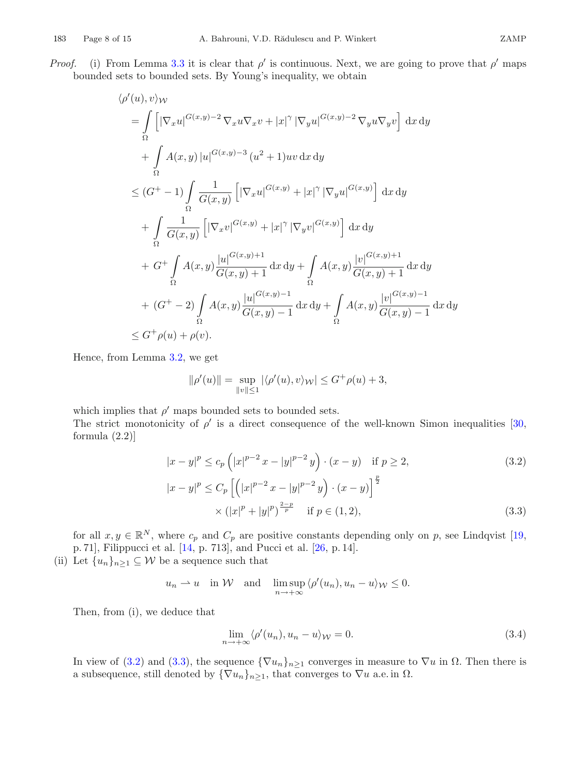$$
\langle \rho'(u), v \rangle_{\mathcal{W}}
$$
\n
$$
= \int_{\Omega} \left[ |\nabla_x u|^{G(x,y)-2} \nabla_x u \nabla_x v + |x|^{\gamma} |\nabla_y u|^{G(x,y)-2} \nabla_y u \nabla_y v \right] dx dy
$$
\n
$$
+ \int_{\Omega} A(x,y) |u|^{G(x,y)-3} (u^2 + 1)uv dx dy
$$
\n
$$
\leq (G^+ - 1) \int_{\Omega} \frac{1}{G(x,y)} \left[ |\nabla_x u|^{G(x,y)} + |x|^{\gamma} |\nabla_y u|^{G(x,y)} \right] dx dy
$$
\n
$$
+ \int_{\Omega} \frac{1}{G(x,y)} \left[ |\nabla_x v|^{G(x,y)} + |x|^{\gamma} |\nabla_y v|^{G(x,y)} \right] dx dy
$$
\n
$$
+ G^+ \int_{\Omega} A(x,y) \frac{|u|^{G(x,y)+1}}{G(x,y)+1} dx dy + \int_{\Omega} A(x,y) \frac{|v|^{G(x,y)+1}}{G(x,y)+1} dx dy
$$
\n
$$
+ (G^+ - 2) \int_{\Omega} A(x,y) \frac{|u|^{G(x,y)-1}}{G(x,y)-1} dx dy + \int_{\Omega} A(x,y) \frac{|v|^{G(x,y)-1}}{G(x,y)-1} dx dy
$$
\n
$$
\leq G^+ \rho(u) + \rho(v).
$$

Hence, from Lemma [3.2,](#page-4-3) we get

<span id="page-7-0"></span>
$$
\|\rho'(u)\| = \sup_{\|v\| \le 1} |\langle \rho'(u), v \rangle_{\mathcal{W}}| \le G^+ \rho(u) + 3,
$$

which implies that  $\rho'$  maps bounded sets to bounded sets.

The strict monotonicity of  $\rho'$  is a direct consequence of the well-known Simon inequalities [\[30,](#page-14-5) formula (2.2)]

$$
|x - y|^p \le c_p \left( |x|^{p-2} x - |y|^{p-2} y \right) \cdot (x - y) \quad \text{if } p \ge 2,
$$
\n
$$
|x - y|^p \le C_p \left[ \left( |x|^{p-2} x - |y|^{p-2} y \right) \cdot (x - y) \right]^{\frac{p}{2}}
$$
\n
$$
\times (|x|^p + |y|^p)^{\frac{2-p}{p}} \quad \text{if } p \in (1, 2), \tag{3.3}
$$

for all  $x, y \in \mathbb{R}^N$ , where  $c_p$  and  $C_p$  are positive constants depending only on p, see Lindqvist [\[19,](#page-13-21) p. 71], Filippucci et al. [\[14,](#page-13-22) p. 713], and Pucci et al. [\[26](#page-14-6), p. 14].

(ii) Let  $\{u_n\}_{n\geq 1} \subseteq \mathcal{W}$  be a sequence such that

 $u_n \rightharpoonup u$  in W and  $\limsup_{n \to +\infty} \langle \rho'(u_n), u_n - u \rangle_{\mathcal{W}} \leq 0.$ 

Then, from (i), we deduce that

<span id="page-7-2"></span><span id="page-7-1"></span>
$$
\lim_{n \to +\infty} \langle \rho'(u_n), u_n - u \rangle_{\mathcal{W}} = 0. \tag{3.4}
$$

In view of [\(3.2\)](#page-7-0) and [\(3.3\)](#page-7-1), the sequence  ${\nabla u_n}_{n\geq 1}$  converges in measure to  $\nabla u$  in  $\Omega$ . Then there is a subsequence, still denoted by  ${\nabla u_n}_{n>1}$ , that converges to  $\nabla u$  a.e. in  $\Omega$ .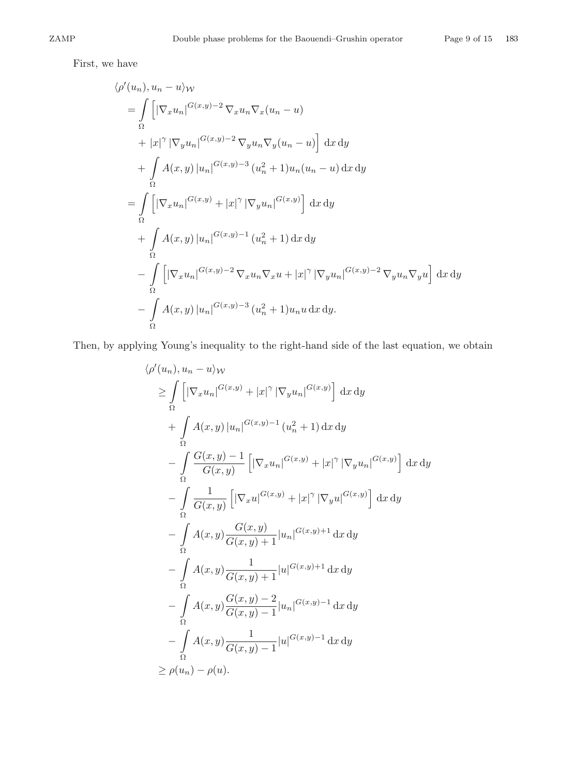First, we have

$$
\langle \rho'(u_n), u_n - u \rangle_W
$$
  
\n
$$
= \int_{\Omega} \left[ |\nabla_x u_n|^{G(x,y)-2} \nabla_x u_n \nabla_x (u_n - u) \right]
$$
  
\n
$$
+ |x|^{\gamma} |\nabla_y u_n|^{G(x,y)-2} \nabla_y u_n \nabla_y (u_n - u) \right] dx dy
$$
  
\n
$$
+ \int_{\Omega} A(x,y) |u_n|^{G(x,y)-3} (u_n^2 + 1) u_n (u_n - u) dx dy
$$
  
\n
$$
= \int_{\Omega} \left[ |\nabla_x u_n|^{G(x,y)} + |x|^{\gamma} |\nabla_y u_n|^{G(x,y)} \right] dx dy
$$
  
\n
$$
+ \int_{\Omega} A(x,y) |u_n|^{G(x,y)-1} (u_n^2 + 1) dx dy
$$
  
\n
$$
- \int_{\Omega} \left[ |\nabla_x u_n|^{G(x,y)-2} \nabla_x u_n \nabla_x u + |x|^{\gamma} |\nabla_y u_n|^{G(x,y)-2} \nabla_y u_n \nabla_y u \right] dx dy
$$
  
\n
$$
- \int_{\Omega} A(x,y) |u_n|^{G(x,y)-3} (u_n^2 + 1) u_n u dx dy.
$$

Then, by applying Young's inequality to the right-hand side of the last equation, we obtain

$$
\langle \rho'(u_n), u_n - u \rangle_{\mathcal{W}}
$$
\n
$$
\geq \int_{\Omega} \left[ |\nabla_x u_n|^{G(x,y)} + |x|^{\gamma} |\nabla_y u_n|^{G(x,y)} \right] dx dy
$$
\n
$$
+ \int_{\Omega} A(x,y) |u_n|^{G(x,y)-1} (u_n^2 + 1) dx dy
$$
\n
$$
- \int_{\Omega} \frac{G(x,y)-1}{G(x,y)} \left[ |\nabla_x u_n|^{G(x,y)} + |x|^{\gamma} |\nabla_y u_n|^{G(x,y)} \right] dx dy
$$
\n
$$
- \int_{\Omega} \frac{1}{G(x,y)} \left[ |\nabla_x u|^{G(x,y)} + |x|^{\gamma} |\nabla_y u|^{G(x,y)} \right] dx dy
$$
\n
$$
- \int_{\Omega} A(x,y) \frac{G(x,y)}{G(x,y)+1} |u_n|^{G(x,y)+1} dx dy
$$
\n
$$
- \int_{\Omega} A(x,y) \frac{G(x,y)-2}{G(x,y)+1} |u|^{G(x,y)-1} dx dy
$$
\n
$$
- \int_{\Omega} A(x,y) \frac{G(x,y)-2}{G(x,y)-1} |u_n|^{G(x,y)-1} dx dy
$$
\n
$$
\geq \rho(u_n) - \rho(u).
$$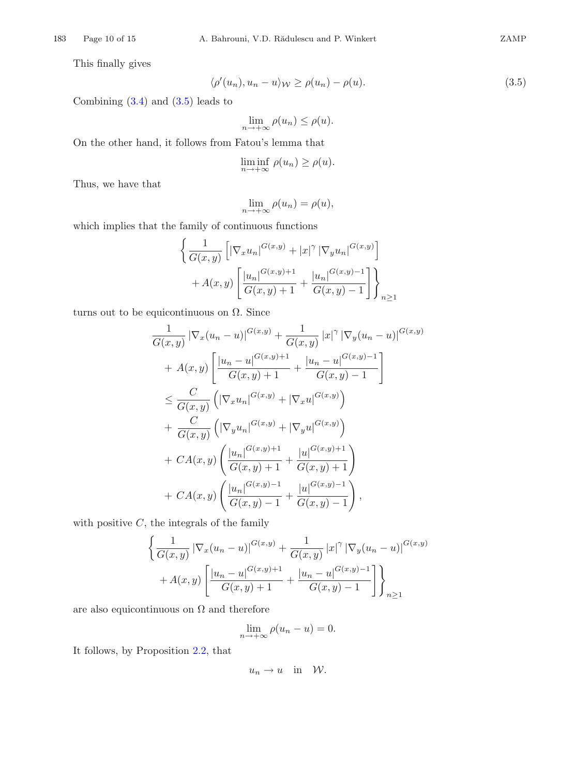This finally gives

$$
\langle \rho'(u_n), u_n - u \rangle_{\mathcal{W}} \ge \rho(u_n) - \rho(u). \tag{3.5}
$$

Combining [\(3.4\)](#page-7-2) and [\(3.5\)](#page-9-0) leads to

<span id="page-9-0"></span>
$$
\lim_{n \to +\infty} \rho(u_n) \le \rho(u).
$$

On the other hand, it follows from Fatou's lemma that

$$
\liminf_{n \to +\infty} \rho(u_n) \ge \rho(u).
$$

Thus, we have that

$$
\lim_{n \to +\infty} \rho(u_n) = \rho(u),
$$

which implies that the family of continuous functions

$$
\left\{ \frac{1}{G(x,y)} \left[ |\nabla_x u_n|^{G(x,y)} + |x|^\gamma |\nabla_y u_n|^{G(x,y)} \right] + A(x,y) \left[ \frac{|u_n|^{G(x,y)+1}}{G(x,y)+1} + \frac{|u_n|^{G(x,y)-1}}{G(x,y)-1} \right] \right\}_{n \ge 1}
$$

turns out to be equicontinuous on  $\Omega$ . Since

$$
\frac{1}{G(x,y)} |\nabla_x (u_n - u)|^{G(x,y)} + \frac{1}{G(x,y)} |x|^{\gamma} |\nabla_y (u_n - u)|^{G(x,y)} \n+ A(x,y) \left[ \frac{|u_n - u|^{G(x,y)+1}}{G(x,y)+1} + \frac{|u_n - u|^{G(x,y)-1}}{G(x,y)-1} \right] \n\leq \frac{C}{G(x,y)} \left( |\nabla_x u_n|^{G(x,y)} + |\nabla_x u|^{G(x,y)} \right) \n+ \frac{C}{G(x,y)} \left( |\nabla_y u_n|^{G(x,y)} + |\nabla_y u|^{G(x,y)} \right) \n+ CA(x,y) \left( \frac{|u_n|^{G(x,y)+1}}{G(x,y)+1} + \frac{|u|^{G(x,y)+1}}{G(x,y)+1} \right) \n+ CA(x,y) \left( \frac{|u_n|^{G(x,y)-1}}{G(x,y)-1} + \frac{|u|^{G(x,y)-1}}{G(x,y)-1} \right),
$$

with positive  $C$ , the integrals of the family

$$
\left\{ \frac{1}{G(x,y)} |\nabla_x (u_n - u)|^{G(x,y)} + \frac{1}{G(x,y)} |x|^{\gamma} |\nabla_y (u_n - u)|^{G(x,y)} + A(x,y) \left[ \frac{|u_n - u|^{G(x,y)+1}}{G(x,y)+1} + \frac{|u_n - u|^{G(x,y)-1}}{G(x,y)-1} \right] \right\}_{n \ge 1}
$$

are also equicontinuous on  $\Omega$  and therefore

$$
\lim_{n \to +\infty} \rho(u_n - u) = 0.
$$

It follows, by Proposition [2.2,](#page-3-1) that

$$
u_n \to u \quad \text{in} \quad \mathcal{W}.
$$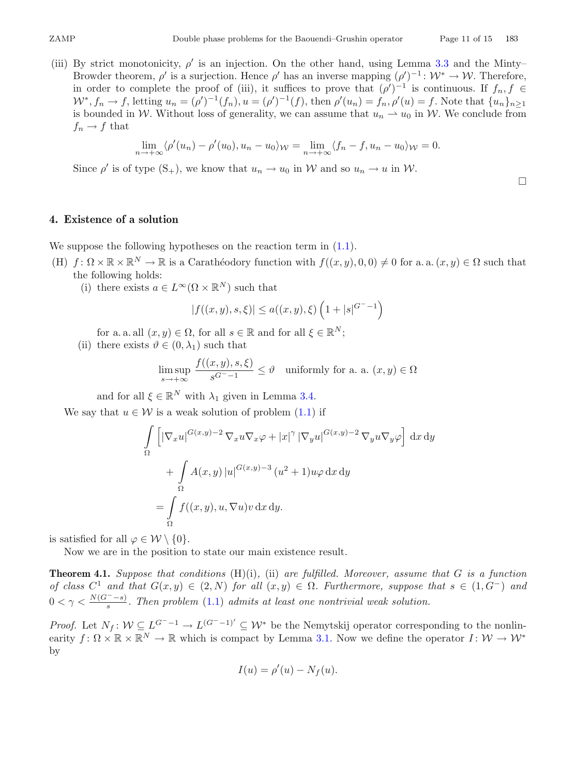$\Box$ 

(iii) By strict monotonicity,  $\rho'$  is an injection. On the other hand, using Lemma [3.3](#page-5-0) and the Minty– Browder theorem,  $\rho'$  is a surjection. Hence  $\rho'$  has an inverse mapping  $(\rho')^{-1} : \mathcal{W}^* \to \mathcal{W}$ . Therefore, in order to complete the proof of (iii), it suffices to prove that  $(\rho')^{-1}$  is continuous. If  $f_n, f \in$  $W^*, f_n \to f$ , letting  $u_n = (\rho')^{-1}(f_n), u = (\rho')^{-1}(f)$ , then  $\rho'(u_n) = f_n, \rho'(u) = f$ . Note that  $\{u_n\}_{n \geq 1}$ is bounded in W. Without loss of generality, we can assume that  $u_n \rightharpoonup u_0$  in W. We conclude from  $f_n \to f$  that

$$
\lim_{n \to +\infty} \langle \rho'(u_n) - \rho'(u_0), u_n - u_0 \rangle_{\mathcal{W}} = \lim_{n \to +\infty} \langle f_n - f, u_n - u_0 \rangle_{\mathcal{W}} = 0.
$$

Since  $\rho'$  is of type  $(S_+)$ , we know that  $u_n \to u_0$  in W and so  $u_n \to u$  in W.

**4. Existence of a solution**

We suppose the following hypotheses on the reaction term in  $(1.1)$ .

- (H)  $f: \Omega \times \mathbb{R} \times \mathbb{R}^N \to \mathbb{R}$  is a Carathéodory function with  $f((x, y), 0, 0) \neq 0$  for a. a.  $(x, y) \in \Omega$  such that the following holds:
	- (i) there exists  $a \in L^{\infty}(\Omega \times \mathbb{R}^{N})$  such that

$$
|f((x,y),s,\xi)| \le a((x,y),\xi) \left(1+|s|^{G^{-}-1}\right)
$$

for a. a. all  $(x, y) \in \Omega$ , for all  $s \in \mathbb{R}$  and for all  $\xi \in \mathbb{R}^N$ ;

(ii) there exists  $\vartheta \in (0, \lambda_1)$  such that

$$
\limsup_{s \to +\infty} \frac{f((x,y),s,\xi)}{s^{G^--1}} \le \vartheta \quad \text{uniformly for a. a. } (x,y) \in \Omega
$$

and for all  $\xi \in \mathbb{R}^N$  with  $\lambda_1$  given in Lemma [3.4.](#page-6-0)

We say that  $u \in \mathcal{W}$  is a weak solution of problem  $(1.1)$  if

$$
\int_{\Omega} \left[ |\nabla_x u|^{G(x,y)-2} \nabla_x u \nabla_x \varphi + |x|^{\gamma} |\nabla_y u|^{G(x,y)-2} \nabla_y u \nabla_y \varphi \right] dx dy
$$

$$
+ \int_{\Omega} A(x,y) |u|^{G(x,y)-3} (u^2 + 1) u \varphi dx dy
$$

$$
= \int_{\Omega} f((x,y), u, \nabla u) v dx dy.
$$

is satisfied for all  $\varphi \in \mathcal{W} \setminus \{0\}.$ 

<span id="page-10-0"></span>Now we are in the position to state our main existence result.

**Theorem 4.1.** *Suppose that conditions* (H)(i)*,* (ii) *are fulfilled. Moreover, assume that* G *is a function of class*  $C^1$  *and that*  $G(x, y) \in (2, N)$  *for all*  $(x, y) \in \Omega$ *. Furthermore, suppose that*  $s \in (1, G^-)$  *and*  $0 < \gamma < \frac{N(G^{-} - s)}{s}$ . Then problem [\(1.1\)](#page-0-0) admits at least one nontrivial weak solution.

*Proof.* Let  $N_f: \mathcal{W} \subseteq L^{G^- - 1} \to L^{(G^- - 1)'} \subseteq \mathcal{W}^*$  be the Nemytskij operator corresponding to the nonlinearity  $f: \Omega \times \mathbb{R} \times \mathbb{R}^N \to \mathbb{R}$  which is compact by Lemma [3.1.](#page-4-2) Now we define the operator  $I: \mathcal{W} \to \mathcal{W}^*$ by

$$
I(u) = \rho'(u) - N_f(u).
$$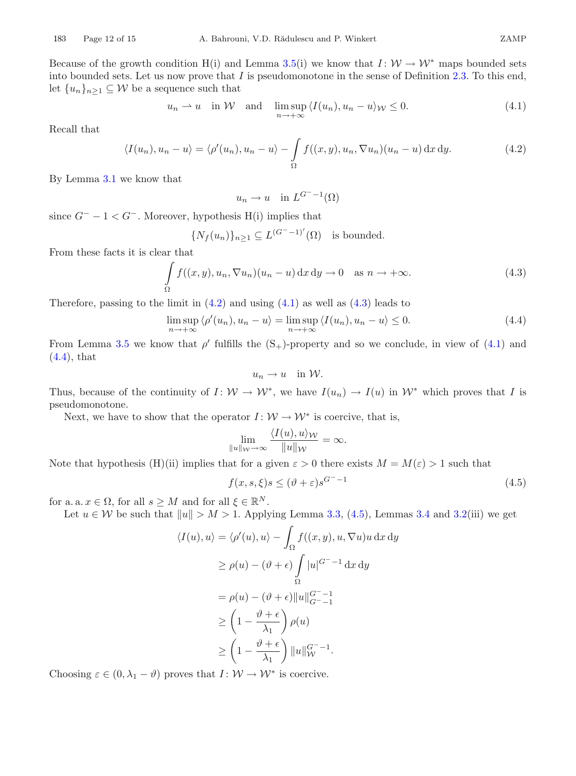Because of the growth condition H(i) and Lemma [3.5\(](#page-6-1)i) we know that  $I: W \to W^*$  maps bounded sets into bounded sets. Let us now prove that  $I$  is pseudomonotone in the sense of Definition [2.3.](#page-3-2) To this end, let  $\{u_n\}_{n\geq 1} \subseteq \mathcal{W}$  be a sequence such that

$$
u_n \rightharpoonup u
$$
 in W and  $\limsup_{n \to +\infty} \langle I(u_n), u_n - u \rangle_{\mathcal{W}} \leq 0.$  (4.1)

Recall that

$$
\langle I(u_n), u_n - u \rangle = \langle \rho'(u_n), u_n - u \rangle - \int_{\Omega} f((x, y), u_n, \nabla u_n)(u_n - u) \,dx \,dy. \tag{4.2}
$$

By Lemma [3.1](#page-4-2) we know that

<span id="page-11-1"></span><span id="page-11-0"></span>
$$
u_n \to u \quad \text{in } L^{G^- - 1}(\Omega)
$$

since  $G^- - 1 < G^-$ . Moreover, hypothesis H(i) implies that

$$
\{N_f(u_n)\}_{n\geq 1}\subseteq L^{(G^--1)'}(\Omega)
$$
 is bounded.

From these facts it is clear that

$$
\int_{\Omega} f((x, y), u_n, \nabla u_n)(u_n - u) \,dx \,dy \to 0 \quad \text{as } n \to +\infty.
$$
\n(4.3)

Therefore, passing to the limit in  $(4.2)$  and using  $(4.1)$  as well as  $(4.3)$  leads to

<span id="page-11-3"></span>
$$
\limsup_{n \to +\infty} \langle \rho'(u_n), u_n - u \rangle = \limsup_{n \to +\infty} \langle I(u_n), u_n - u \rangle \le 0.
$$
\n(4.4)

From Lemma [3.5](#page-6-1) we know that  $\rho'$  fulfills the  $(S_+)$ -property and so we conclude, in view of [\(4.1\)](#page-11-1) and [\(4.4\)](#page-11-3), that

<span id="page-11-4"></span><span id="page-11-2"></span>
$$
u_n \to u \quad \text{in } \mathcal{W}.
$$

Thus, because of the continuity of  $I: W \to W^*$ , we have  $I(u_n) \to I(u)$  in  $W^*$  which proves that I is pseudomonotone.

Next, we have to show that the operator  $I: W \to W^*$  is coercive, that is,

$$
\lim_{\|u\|_{\mathcal{W}}\to\infty}\frac{\langle I(u),u\rangle_{\mathcal{W}}}{\|u\|_{\mathcal{W}}}=\infty.
$$

Note that hypothesis (H)(ii) implies that for a given  $\varepsilon > 0$  there exists  $M = M(\varepsilon) > 1$  such that

$$
f(x, s, \xi)s \le (\vartheta + \varepsilon)s^{G^{-} - 1}
$$
\n(4.5)

for a. a.  $x \in \Omega$ , for all  $s \geq M$  and for all  $\xi \in \mathbb{R}^N$ .

Let  $u \in \mathcal{W}$  be such that  $||u|| > M > 1$ . Applying Lemma [3.3,](#page-5-0) [\(4.5\)](#page-11-4), Lemmas [3.4](#page-6-0) and [3.2\(](#page-4-3)iii) we get

$$
\langle I(u), u \rangle = \langle \rho'(u), u \rangle - \int_{\Omega} f((x, y), u, \nabla u)u \,dx \,dy
$$

$$
\geq \rho(u) - (\vartheta + \epsilon) \int_{\Omega} |u|^{G^{-} - 1} \,dx \,dy
$$

$$
= \rho(u) - (\vartheta + \epsilon) ||u||_{G^{-} - 1}^{G^{-} - 1}
$$

$$
\geq \left(1 - \frac{\vartheta + \epsilon}{\lambda_1}\right) \rho(u)
$$

$$
\geq \left(1 - \frac{\vartheta + \epsilon}{\lambda_1}\right) ||u||_{\mathcal{W}}^{G^{-} - 1}.
$$

Choosing  $\varepsilon \in (0, \lambda_1 - \vartheta)$  proves that  $I: W \to W^*$  is coercive.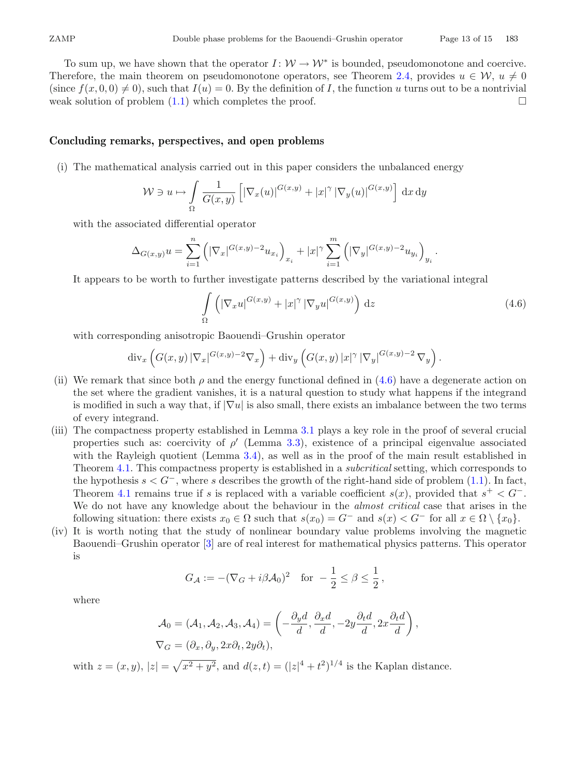To sum up, we have shown that the operator  $I: W \to W^*$  is bounded, pseudomonotone and coercive. Therefore, the main theorem on pseudomonotone operators, see Theorem [2.4,](#page-3-3) provides  $u \in \mathcal{W}$ ,  $u \neq 0$ (since  $f(x, 0, 0) \neq 0$ ), such that  $I(u) = 0$ . By the definition of *I*, the function u turns out to be a nontrivial weak solution of problem (1.1) which completes the proof. weak solution of problem  $(1.1)$  which completes the proof.

## **Concluding remarks, perspectives, and open problems**

(i) The mathematical analysis carried out in this paper considers the unbalanced energy

$$
\mathcal{W} \ni u \mapsto \int\limits_{\Omega} \frac{1}{G(x,y)} \left[ \left| \nabla_x(u) \right|^{G(x,y)} + |x|^{\gamma} \left| \nabla_y(u) \right|^{G(x,y)} \right] \,\mathrm{d}x \,\mathrm{d}y
$$

with the associated differential operator

$$
\Delta_{G(x,y)} u = \sum_{i=1}^n \left( |\nabla_x|^{G(x,y)-2} u_{x_i} \right)_{x_i} + |x|^\gamma \sum_{i=1}^m \left( |\nabla_y|^{G(x,y)-2} u_{y_i} \right)_{y_i}.
$$

It appears to be worth to further investigate patterns described by the variational integral

<span id="page-12-0"></span>
$$
\int_{\Omega} \left( |\nabla_x u|^{G(x,y)} + |x|^{\gamma} |\nabla_y u|^{G(x,y)} \right) \,\mathrm{d}z \tag{4.6}
$$

with corresponding anisotropic Baouendi–Grushin operator

$$
\operatorname{div}_x \left( G(x,y) \left| \nabla_x \right|^{G(x,y)-2} \nabla_x \right) + \operatorname{div}_y \left( G(x,y) \left| x \right|^\gamma \left| \nabla_y \right|^{G(x,y)-2} \nabla_y \right).
$$

- (ii) We remark that since both  $\rho$  and the energy functional defined in [\(4.6\)](#page-12-0) have a degenerate action on the set where the gradient vanishes, it is a natural question to study what happens if the integrand is modified in such a way that, if  $|\nabla u|$  is also small, there exists an imbalance between the two terms of every integrand.
- (iii) The compactness property established in Lemma [3.1](#page-4-2) plays a key role in the proof of several crucial properties such as: coercivity of  $\rho'$  (Lemma [3.3\)](#page-5-0), existence of a principal eigenvalue associated with the Rayleigh quotient (Lemma [3.4\)](#page-6-0), as well as in the proof of the main result established in Theorem [4.1.](#page-10-0) This compactness property is established in a *subcritical* setting, which corresponds to the hypothesis  $s < G^-$ , where s describes the growth of the right-hand side of problem [\(1.1\)](#page-0-0). In fact, Theorem [4.1](#page-10-0) remains true if s is replaced with a variable coefficient  $s(x)$ , provided that  $s^+ < G^-$ . We do not have any knowledge about the behaviour in the *almost critical* case that arises in the following situation: there exists  $x_0 \in \Omega$  such that  $s(x_0) = G^-$  and  $s(x) < G^-$  for all  $x \in \Omega \setminus \{x_0\}$ .
- (iv) It is worth noting that the study of nonlinear boundary value problems involving the magnetic Baouendi–Grushin operator [\[3\]](#page-13-23) are of real interest for mathematical physics patterns. This operator is

$$
G_{\mathcal{A}} := -(\nabla_G + i\beta \mathcal{A}_0)^2 \quad \text{for } -\frac{1}{2} \le \beta \le \frac{1}{2},
$$

where

$$
\mathcal{A}_0 = (\mathcal{A}_1, \mathcal{A}_2, \mathcal{A}_3, \mathcal{A}_4) = \left( -\frac{\partial_y d}{d}, \frac{\partial_x d}{d}, -2y \frac{\partial_t d}{d}, 2x \frac{\partial_t d}{d} \right),
$$
  

$$
\nabla_G = (\partial_x, \partial_y, 2x \partial_t, 2y \partial_t),
$$

with  $z = (x, y), |z| = \sqrt{x^2 + y^2}$ , and  $d(z, t) = (|z|^4 + t^2)^{1/4}$  is the Kaplan distance.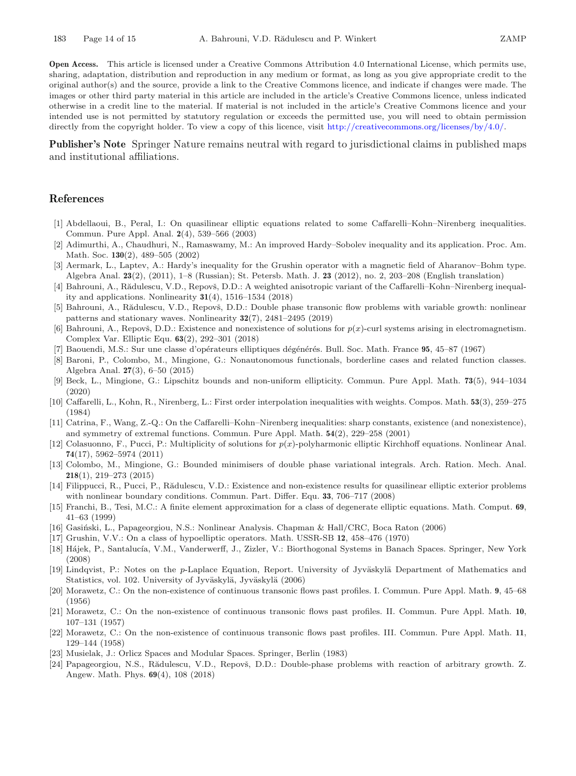**Open Access.** This article is licensed under a Creative Commons Attribution 4.0 International License, which permits use, sharing, adaptation, distribution and reproduction in any medium or format, as long as you give appropriate credit to the original author(s) and the source, provide a link to the Creative Commons licence, and indicate if changes were made. The images or other third party material in this article are included in the article's Creative Commons licence, unless indicated otherwise in a credit line to the material. If material is not included in the article's Creative Commons licence and your intended use is not permitted by statutory regulation or exceeds the permitted use, you will need to obtain permission directly from the copyright holder. To view a copy of this licence, visit [http://creativecommons.org/licenses/by/4.0/.](http://creativecommons.org/licenses/by/4.0/)

**Publisher's Note** Springer Nature remains neutral with regard to jurisdictional claims in published maps and institutional affiliations.

### <span id="page-13-0"></span>**References**

- <span id="page-13-13"></span>[1] Abdellaoui, B., Peral, I.: On quasilinear elliptic equations related to some Caffarelli–Kohn–Nirenberg inequalities. Commun. Pure Appl. Anal. **2**(4), 539–566 (2003)
- <span id="page-13-6"></span>[2] Adimurthi, A., Chaudhuri, N., Ramaswamy, M.: An improved Hardy–Sobolev inequality and its application. Proc. Am. Math. Soc. **130**(2), 489–505 (2002)
- <span id="page-13-23"></span>[3] Aermark, L., Laptev, A.: Hardy's inequality for the Grushin operator with a magnetic field of Aharanov–Bohm type. Algebra Anal. **23**(2), (2011), 1–8 (Russian); St. Petersb. Math. J. **23** (2012), no. 2, 203–208 (English translation)
- <span id="page-13-14"></span>[4] Bahrouni, A., Rădulescu, V.D., Repovš, D.D.: A weighted anisotropic variant of the Caffarelli–Kohn–Nirenberg inequality and applications. Nonlinearity **31**(4), 1516–1534 (2018)
- <span id="page-13-15"></span>[5] Bahrouni, A., Rădulescu, V.D., Repovš, D.D.: Double phase transonic flow problems with variable growth: nonlinear patterns and stationary waves. Nonlinearity **32**(7), 2481–2495 (2019)
- <span id="page-13-17"></span>[6] Bahrouni, A., Repovš, D.D.: Existence and nonexistence of solutions for  $p(x)$ -curl systems arising in electromagnetism. Complex Var. Elliptic Equ. **63**(2), 292–301 (2018)
- <span id="page-13-1"></span>[7] Baouendi, M.S.: Sur une classe d'opérateurs elliptiques dégénérés. Bull. Soc. Math. France 95, 45–87 (1967)
- <span id="page-13-7"></span>[8] Baroni, P., Colombo, M., Mingione, G.: Nonautonomous functionals, borderline cases and related function classes. Algebra Anal. **27**(3), 6–50 (2015)
- <span id="page-13-10"></span>[9] Beck, L., Mingione, G.: Lipschitz bounds and non-uniform ellipticity. Commun. Pure Appl. Math. **73**(5), 944–1034 (2020)
- <span id="page-13-12"></span>[10] Caffarelli, L., Kohn, R., Nirenberg, L.: First order interpolation inequalities with weights. Compos. Math. **53**(3), 259–275 (1984)
- <span id="page-13-16"></span>[11] Catrina, F., Wang, Z.-Q.: On the Caffarelli–Kohn–Nirenberg inequalities: sharp constants, existence (and nonexistence), and symmetry of extremal functions. Commun. Pure Appl. Math. **54**(2), 229–258 (2001)
- <span id="page-13-8"></span>[12] Colasuonno, F., Pucci, P.: Multiplicity of solutions for *p*(*x*)-polyharmonic elliptic Kirchhoff equations. Nonlinear Anal. **74**(17), 5962–5974 (2011)
- <span id="page-13-9"></span>[13] Colombo, M., Mingione, G.: Bounded minimisers of double phase variational integrals. Arch. Ration. Mech. Anal. **218**(1), 219–273 (2015)
- <span id="page-13-22"></span>[14] Filippucci, R., Pucci, P., Rădulescu, V.D.: Existence and non-existence results for quasilinear elliptic exterior problems with nonlinear boundary conditions. Commun. Part. Differ. Equ. **33**, 706–717 (2008)
- <span id="page-13-3"></span>[15] Franchi, B., Tesi, M.C.: A finite element approximation for a class of degenerate elliptic equations. Math. Comput. **69**, 41–63 (1999)
- <span id="page-13-20"></span>[16] Gasiński, L., Papageorgiou, N.S.: Nonlinear Analysis. Chapman & Hall/CRC, Boca Raton (2006)
- <span id="page-13-2"></span>[17] Grushin, V.V.: On a class of hypoelliptic operators. Math. USSR-SB **12**, 458–476 (1970)
- <span id="page-13-18"></span>[18] Hájek, P., Santalucía, V.M., Vanderwerff, J., Zizler, V.: Biorthogonal Systems in Banach Spaces. Springer, New York (2008)
- <span id="page-13-21"></span>[19] Lindqvist, P.: Notes on the *p*-Laplace Equation, Report. University of Jyväskylä Department of Mathematics and Statistics, vol. 102. University of Jyväskylä, Jyväskylä (2006)
- <span id="page-13-4"></span>[20] Morawetz, C.: On the non-existence of continuous transonic flows past profiles. I. Commun. Pure Appl. Math. **9**, 45–68 (1956)
- [21] Morawetz, C.: On the non-existence of continuous transonic flows past profiles. II. Commun. Pure Appl. Math. **10**, 107–131 (1957)
- <span id="page-13-5"></span>[22] Morawetz, C.: On the non-existence of continuous transonic flows past profiles. III. Commun. Pure Appl. Math. **11**, 129–144 (1958)
- <span id="page-13-19"></span>[23] Musielak, J.: Orlicz Spaces and Modular Spaces. Springer, Berlin (1983)
- <span id="page-13-11"></span>[24] Papageorgiou, N.S., Rădulescu, V.D., Repovš, D.D.: Double-phase problems with reaction of arbitrary growth. Z. Angew. Math. Phys. **69**(4), 108 (2018)